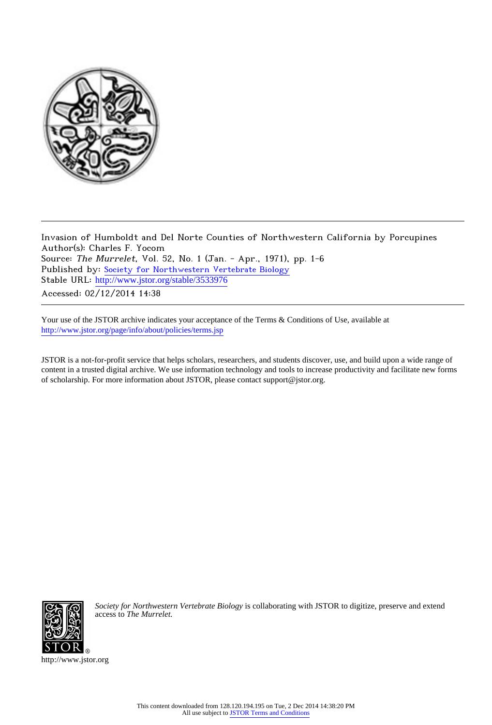

Invasion of Humboldt and Del Norte Counties of Northwestern California by Porcupines Author(s): Charles F. Yocom Source: The Murrelet, Vol. 52, No. 1 (Jan. - Apr., 1971), pp. 1-6 Published by: [Society for Northwestern Vertebrate Biology](http://www.jstor.org/action/showPublisher?publisherCode=snwvb) Stable URL: [http://www.jstor.org/stable/3533976](http://www.jstor.org/stable/3533976?origin=JSTOR-pdf) Accessed: 02/12/2014 14:38

Your use of the JSTOR archive indicates your acceptance of the Terms & Conditions of Use, available at <http://www.jstor.org/page/info/about/policies/terms.jsp>

JSTOR is a not-for-profit service that helps scholars, researchers, and students discover, use, and build upon a wide range of content in a trusted digital archive. We use information technology and tools to increase productivity and facilitate new forms of scholarship. For more information about JSTOR, please contact support@jstor.org.



*Society for Northwestern Vertebrate Biology* is collaborating with JSTOR to digitize, preserve and extend access to *The Murrelet.*

http://www.jstor.org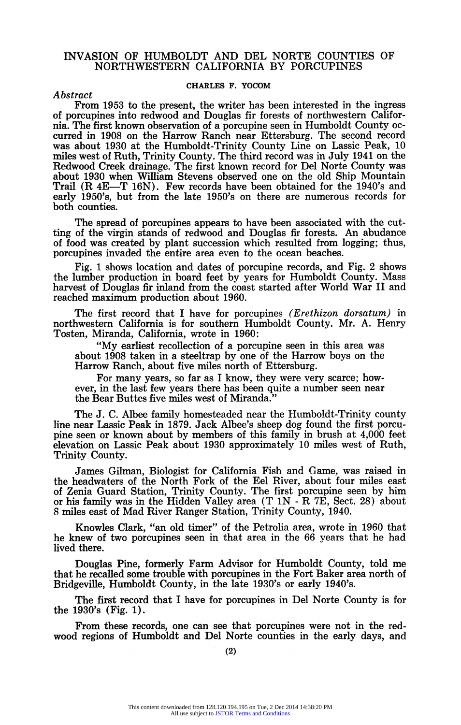# INVASION OF HUMBOLDT AND DEL NORTE COUNTIES OF NORTHWESTERN CALIFORNIA BY PORCUPINES

## CHARLES F. YOCOM

Abstract

From 1953 to the present, the writer has been interested in the ingress of porcupines into redwood and Douglas fir forests of northwestern California. The first known observation of a porcupine seen in Humboldt County occurred in 1908 on the Harrow Ranch near Ettersburg. The second record was about 1930 at the Humboldt-Trinity County Line on Lassic Peak, 10 miles west of Ruth, Trinity County. The third record was in July 1941 on the Redwood Creek drainage. The first known record for Del Norte County was about 1930 when William Stevens observed one on the old Ship Mountain Trail (R 4E-T 16N). Few records have been obtained for the 1940's and early 1950's, but from the late 1950's on there are numerous records for both counties.

The spread of porcupines appears to have been associated with the cutting of the virgin stands of redwood and Douglas fir forests. An abudance of food was created by plant succession which resulted from logging; thus, porcupines invaded the entire area even to the ocean beaches.

Fig. 1 shows location and dates of porcupine records, and Fig. 2 shows the lumber production in board feet by years for Humboldt County. Mass harvest of Douglas fir inland from the coast started after World War II and reached maximum production about 1960.

The first record that I have for porcupines (Erethizon dorsatum) in northwestern California is for southern Humboldt County. Mr. A. Henry Tosten, Miranda, California, wrote in 1960:

"My earliest recollection of a porcupine seen in this area was about 1908 taken in a steeltrap by one of the Harrow boys on the Harrow Ranch, about five miles north of Ettersburg.

For many years, so far as I know, they were very scarce; however, in the last few years there has been quite a number seen near the Bear Buttes five miles west of Miranda."

The J. C. Albee family homesteaded near the Humboldt-Trinity county line near Lassic Peak in 1879. Jack Albee's sheep dog found the first porcupine seen or known about by members of this family in brush at 4,000 feet elevation on Lassic Peak about 1930 approximately 10 miles west of Ruth, Trinity County.

James Gilman, Biologist for California Fish and Game, was raised in the headwaters of the North Fork of the Eel River, about four miles east of Zenia Guard Station, Trinity County. The first porcupine seen by him or his family was in the Hidden Valley area (T 1N - R 7E, Sect. 28) about 8 miles east of Mad River Ranger Station, Trinity County, 1940.

Knowles Clark, "an old timer" of the Petrolia area, wrote in 1960 that he knew of two porcupines seen in that area in the 66 years that he had lived there.

Douglas Pine, formerly Farm Advisor for Humboldt County, told me that he recalled some trouble with porcupines in the Fort Baker area north of Bridgeville, Humboldt County, in the late 1930's or early 1940's.

The first record that I have for porcupines in Del Norte County is for the 1930's (Fig. 1).

From these records, one can see that porcupines were not in the redwood regions of Humboldt and Del Norte counties in the early days, and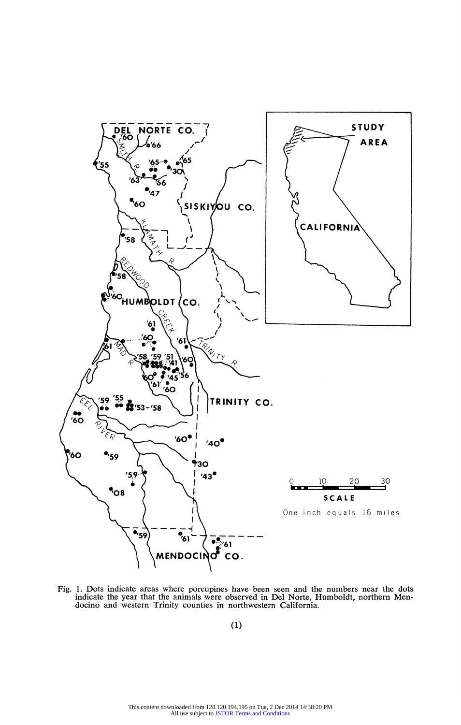

Fig. 1. Dots indicate areas where porcupines have been seen and the numbers near the dots indicate the year that the animals were observed in Del Norte, Humboldt, northern Mendocino and western Trinity counties in northwestern California.

(1)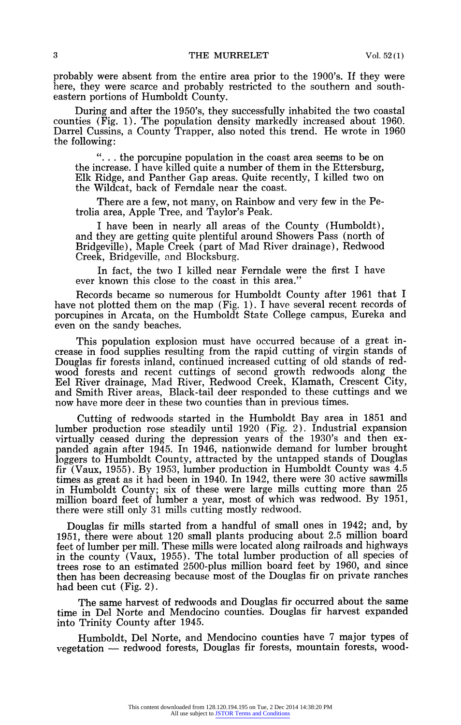probably were absent from the entire area prior to the 1900's. If they were here, they were scarce and probably restricted to the southern and southeastern portions of Humboldt County.

During and after the 1950's, they successfully inhabited the two coastal counties (Fig. 1). The population density markedly increased about 1960. Darrel Cussins, a County Trapper, also noted this trend. He wrote in 1960 the following:

".. .. the porcupine population in the coast area seems to be on the increase. I have killed quite a number of them in the Ettersburg, Elk Ridge, and Panther Gap areas. Quite recently, I killed two on the Wildcat, back of Ferndale near the coast.

There are a few, not many, on Rainbow and very few in the Petrolia area, Apple Tree, and Taylor's Peak.

I have been in nearly all areas of the County (Humboldt), and they are getting quite plentiful around Showers Pass (north of Bridgeville), Maple Creek (part of Mad River drainage), Redwood Creek, Bridgeville, and Blocksburg.

In fact, the two I killed near Ferndale were the first I have ever known this close to the coast in this area.'

Records became so numerous for Humboldt County after 1961 that I have not plotted them on the map (Fig. 1). I have several recent records of porcupines in Arcata, on the Humboldt State College campus, Eureka and even on the sandy beaches.

This population explosion must have occurred because of a great increase in food supplies resulting from the rapid cutting of virgin stands of Douglas fir forests inland, continued increased cutting of old stands of redwood forests and recent cuttings of second growth redwoods along the Eel River drainage, Mad River, Redwood Creek, Klamath, Crescent City, and Smith River areas, Black-tail deer responded to these cuttings and we now have more deer in these two counties than in previous times.

Cutting of redwoods started in the Humboldt Bay area in 1851 and lumber production rose steadily until 1920 (Fig. 2). Industrial expansion virtually ceased during the depression years of the 1930's and then expanded again after 1945. In 1946, nationwide demand for lumber brought loggers to Humboldt County, attracted by the untapped stands of Douglas fir (Vaux, 1955). By 1953, lumber production in Humboldt County was 4.5 times as great as it had been in 1940. In 1942, there were 30 active sawmills in Humboldt County; six of these were large mills cutting more than 25 million board feet of lumber a year, most of which was redwood. By 1951, there were still only 31 mills cutting mostly redwood.

Douglas fir mills started from a handful of small ones in 1942; and, by 1951, there were about 120 small plants producing about 2.5 million board feet of lumber per mill. These mills were located along railroads and highways in the county (Vaux, 1955). The total lumber production of all species of trees rose to an estimated 2500-plus million board feet by 1960, and since then has been decreasing because most of the Douglas fir on private ranches had been cut (Fig. 2).

The same harvest of redwoods and Douglas fir occurred about the same time in Del Norte and Mendocino counties. Douglas fir harvest expanded into Trinity County after 1945.

Humboldt, Del Norte, and Mendocino counties have 7 major types of vegetation - redwood forests, Douglas fir forests, mountain forests, wood-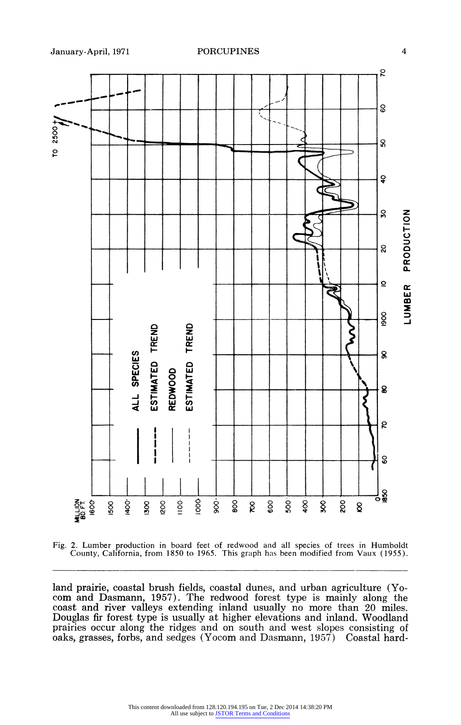



land prairie, coastal brush fields, coastal dunes, and urban agriculture (Yocom and Dasmann, 1957). The redwood forest type is mainly along the coast and river valleys extending inland usually no more than 20 miles. Douglas fir forest type is usually at higher elevations and inland. Woodland prairies occur along the ridges and on south and west slopes consisting of oaks, grasses, forbs, and sedges (Yocom and Dasmann, 1957) Coastal hard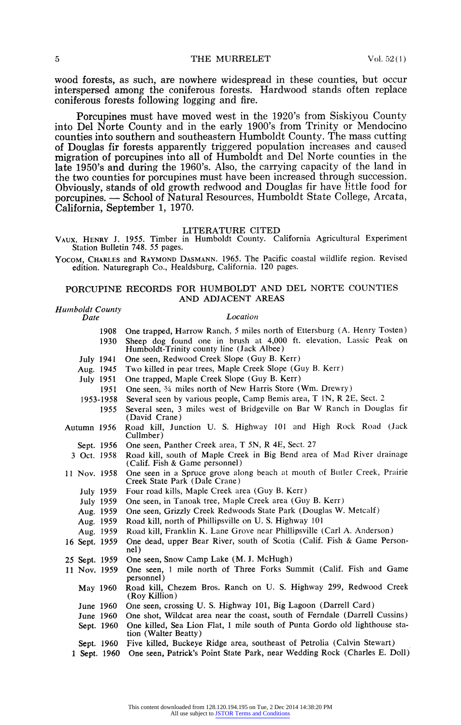wood forests, as such, are nowhere widespread in these counties, but occur interspersed among the coniferous forests. Hardwood stands often replace coniferous forests following logging and fire.

Porcupines must have moved west in the 1920's from Siskiyou County into Del Norte County and in the early 1900's from Trinity or Mendocino counties into southern and southeastern Humboldt County. The mass cutting of Douglas fir forests apparently triggered population increases and caused migration of porcupines into all of Humboldt and Del Norte counties in the late 1950's and during the 1960's. Also, the carrying capacity of the land in the two counties for porcupines must have been increased through succession. Obviously, stands of old growth redwood and Douglas fir have little food for porcupines. - School of Natural Resources, Humboldt State College, Arcata, California, September 1, 1970.

## LITERATURE CITED

VAUX, HENRY J. 1955. Timber in Humboldt County. California Agricultural Experiment Station Bulletin 748. 55 pages.

YOCOM, CHARLES and RAYMOND DASMANN. 1965. The Pacific coastal wildlife region. Revised edition. Naturegraph Co., Healdsburg, California. 120 pages.

# PORCUPINE RECORDS FOR HUMBOLDT AND DEL NORTE COUNTIES AND ADJACENT AREAS

# Humboldt County<br>Date

## Location

| 1908          | One trapped, Harrow Ranch, 5 miles north of Ettersburg (A. Henry Tosten)                                         |  |  |
|---------------|------------------------------------------------------------------------------------------------------------------|--|--|
| 1930          | Sheep dog found one in brush at 4,000 ft. elevation, Lassic Peak on<br>Humboldt-Trinity county line (Jack Albee) |  |  |
| July 1941     | One seen, Redwood Creek Slope (Guy B. Kerr)                                                                      |  |  |
| Aug. 1945     | Two killed in pear trees, Maple Creek Slope (Guy B. Kerr)                                                        |  |  |
| July 1951     | One trapped, Maple Creek Slope (Guy B. Kerr)                                                                     |  |  |
| 1951          | One seen, 34 miles north of New Harris Store (Wm. Drewry)                                                        |  |  |
| 1953-1958     | Several seen by various people, Camp Bemis area, T 1N, R 2E, Sect. 2                                             |  |  |
| 1955          | Several seen, 3 miles west of Bridgeville on Bar W Ranch in Douglas fir<br>(David Crane)                         |  |  |
| Autumn 1956   | Road kill, Junction U. S. Highway 101 and High Rock Road (Jack<br>Cullmber)                                      |  |  |
| Sept. 1956    | One seen, Panther Creek area, T 5N, R 4E, Sect. 27                                                               |  |  |
| 3 Oct. 1958   | Road kill, south of Maple Creek in Big Bend area of Mad River drainage<br>(Calif. Fish & Game personnel)         |  |  |
| 11 Nov. 1958  | One seen in a Spruce grove along beach at mouth of Butler Creek, Prairie<br>Creek State Park (Dale Crane)        |  |  |
| July 1959     | Four road kills, Maple Creek area (Guy B. Kerr)                                                                  |  |  |
| July 1959     | One seen, in Tanoak tree, Maple Creek area (Guy B. Kerr)                                                         |  |  |
| Aug. 1959     | One seen, Grizzly Creek Redwoods State Park (Douglas W. Metcalf)                                                 |  |  |
| Aug. 1959     | Road kill, north of Phillipsville on U.S. Highway 101                                                            |  |  |
| Aug. 1959     | Road kill, Franklin K. Lane Grove near Phillipsville (Carl A. Anderson)                                          |  |  |
| 16 Sept. 1959 | One dead, upper Bear River, south of Scotia (Calif. Fish & Game Person-<br>nel)                                  |  |  |
| 25 Sept. 1959 | One seen, Snow Camp Lake (M. J. McHugh)                                                                          |  |  |
| 11 Nov. 1959  | One seen, 1 mile north of Three Forks Summit (Calif. Fish and Game<br>personnel)                                 |  |  |
| May 1960      | Road kill, Chezem Bros. Ranch on U. S. Highway 299, Redwood Creek<br>(Roy Killion)                               |  |  |
| June 1960     | One seen, crossing U. S. Highway 101, Big Lagoon (Darrell Card)                                                  |  |  |
| June 1960     | One shot, Wildcat area near the coast, south of Ferndale (Darrell Cussins)                                       |  |  |
| Sept. 1960    | One killed, Sea Lion Flat, 1 mile south of Punta Gordo old lighthouse sta-<br>tion (Walter Beatty)               |  |  |
| Sept. 1960    | Five killed, Buckeye Ridge area, southeast of Petrolia (Calvin Stewart)                                          |  |  |
| 1 Sept. 1960  | One seen, Patrick's Point State Park, near Wedding Rock (Charles E. Doll)                                        |  |  |